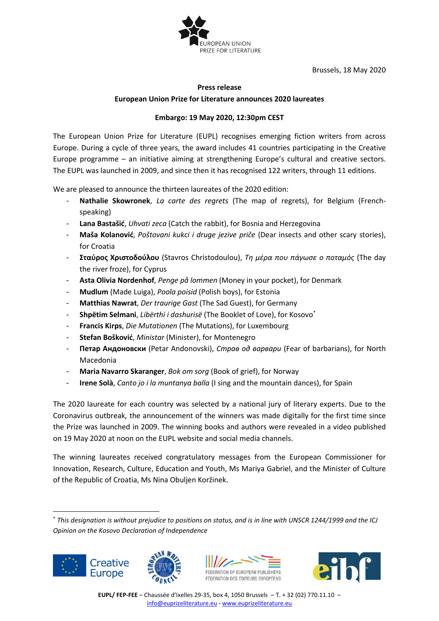

Brussels, 18 May 2020

## **Press release European Union Prize for Literature announces 2020 laureates**

## **Embargo: 19 May 2020, 12:30pm CEST**

The European Union Prize for Literature (EUPL) recognises emerging fiction writers from across Europe. During a cycle of three years, the award includes 41 countries participating in the Creative Europe programme – an initiative aiming at strengthening Europe's cultural and creative sectors. The EUPL was launched in 2009, and since then it has recognised 122 writers, through 11 editions.

We are pleased to announce the thirteen laureates of the 2020 edition:

- **Nathalie Skowronek**, *La carte des regrets* (The map of regrets), for Belgium (Frenchspeaking)
- Lana Bastašić, *Uhvati zeca* (Catch the rabbit), for Bosnia and Herzegovina
- **Maša Kolanović**, *Poštovani kukci i druge jezive priče* (Dear insects and other scary stories), for Croatia
- **Σταύρος Χριστοδούλου** (Stavros Christodoulou), *Τη μέρα που πάγωσε ο ποταμός* (The day the river froze), for Cyprus
- **Asta Olivia Nordenhof**, *Penge på lommen* (Money in your pocket), for Denmark
- **Mudlum** (Made Luiga), *Poola poisid* (Polish boys), for Estonia
- **Matthias Nawrat**, *Der traurige Gast* (The Sad Guest), for Germany
- **Shpëtim Selmani**, *Libërthi i dashurisë* (The Booklet of Love), for Kosovo\*
- **Francis Kirps**, *Die Mutationen* (The Mutations), for Luxembourg
- **Stefan Bošković**, *Ministar* (Minister), for Montenegro
- **Петар Андоновски** (Petar Andonovski), *Страв од варвари* (Fear of barbarians), for North Macedonia
- **Maria Navarro Skaranger**, *Bok om sorg* (Book of grief), for Norway
- **Irene Solà**, *Canto jo i la muntanya balla* (I sing and the mountain dances), for Spain

The 2020 laureate for each country was selected by a national jury of literary experts. Due to the Coronavirus outbreak, the announcement of the winners was made digitally for the first time since the Prize was launched in 2009. The winning books and authors were revealed in a video published on 19 May 2020 at noon on the EUPL website and social media channels.

The winning laureates received congratulatory messages from the European Commissioner for Innovation, Research, Culture, Education and Youth, Ms Mariya Gabriel, and the Minister of Culture of the Republic of Croatia, Ms Nina Obuljen Koržinek.

<sup>\*</sup> *This designation is without prejudice to positions on status, and is in line with UNSCR 1244/1999 and the ICJ Opinion on the Kosovo Declaration of Independence*







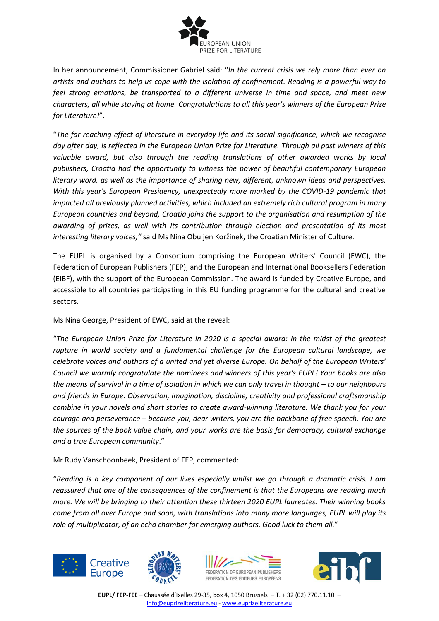

In her announcement, Commissioner Gabriel said: "*In the current crisis we rely more than ever on artists and authors to help us cope with the isolation of confinement. Reading is a powerful way to feel strong emotions, be transported to a different universe in time and space, and meet new characters, all while staying at home. Congratulations to all this year's winners of the European Prize for Literature!*".

"*The far-reaching effect of literature in everyday life and its social significance, which we recognise day after day, is reflected in the European Union Prize for Literature. Through all past winners of this valuable award, but also through the reading translations of other awarded works by local publishers, Croatia had the opportunity to witness the power of beautiful contemporary European literary word, as well as the importance of sharing new, different, unknown ideas and perspectives. With this year's European Presidency, unexpectedly more marked by the COVID-19 pandemic that impacted all previously planned activities, which included an extremely rich cultural program in many European countries and beyond, Croatia joins the support to the organisation and resumption of the awarding of prizes, as well with its contribution through election and presentation of its most interesting literary voices,"* said Ms Nina Obuljen Koržinek, the Croatian Minister of Culture.

The EUPL is organised by a Consortium comprising the European Writers' Council (EWC), the Federation of European Publishers (FEP), and the European and International Booksellers Federation (EIBF), with the support of the European Commission. The award is funded by Creative Europe, and accessible to all countries participating in this EU funding programme for the cultural and creative sectors.

Ms Nina George, President of EWC, said at the reveal:

"*The European Union Prize for Literature in 2020 is a special award: in the midst of the greatest rupture in world society and a fundamental challenge for the European cultural landscape, we celebrate voices and authors of a united and yet diverse Europe. On behalf of the European Writers' Council we warmly congratulate the nominees and winners of this year's EUPL! Your books are also the means of survival in a time of isolation in which we can only travel in thought – to our neighbours and friends in Europe. Observation, imagination, discipline, creativity and professional craftsmanship combine in your novels and short stories to create award-winning literature. We thank you for your courage and perseverance – because you, dear writers, you are the backbone of free speech. You are the sources of the book value chain, and your works are the basis for democracy, cultural exchange and a true European community*."

Mr Rudy Vanschoonbeek, President of FEP, commented:

"*Reading is a key component of our lives especially whilst we go through a dramatic crisis. I am reassured that one of the consequences of the confinement is that the Europeans are reading much more. We will be bringing to their attention these thirteen 2020 EUPL laureates. Their winning books come from all over Europe and soon, with translations into many more languages, EUPL will play its role of multiplicator, of an echo chamber for emerging authors. Good luck to them all.*"









**EUPL/ FEP-FEE** – Chaussée d'Ixelles 29-35, box 4, 1050 Brussels – T. + 32 (02) 770.11.10 – [info@euprizeliterature.eu](mailto:info@euprizeliterature.eu) - [www.euprizeliterature.eu](http://www.euprizeliterature.eu/)